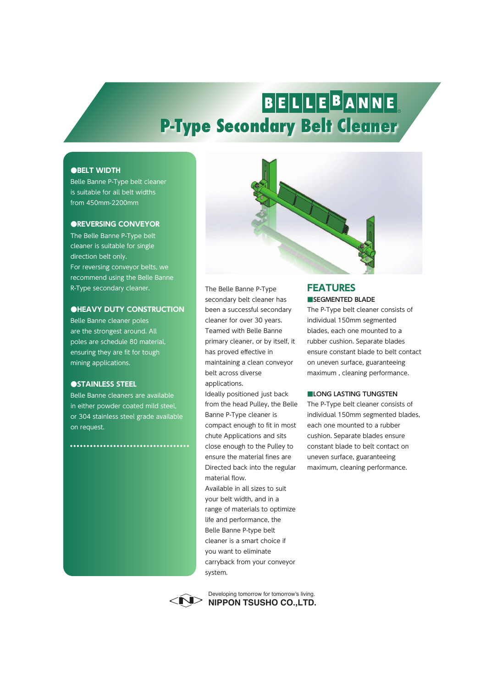# BELLEBANNE **P-Type Secondary Belt Cleaner**

#### **●BELT WIDTH**

Belle Banne P-Type belt cleaner is suitable for all belt widths from 450mm-2200mm

#### **●REVERSING CONVEYOR**

The Belle Banne P-Type belt cleaner is suitable for single direction belt only. For reversing conveyor belts, we recommend using the Belle Banne R-Type secondary cleaner.

#### **●HEAVY DUTY CONSTRUCTION**

Belle Banne cleaner poles are the strongest around. All poles are schedule 80 material, ensuring they are fit for tough mining applications.

### **●STAINLESS STEEL**

Belle Banne cleaners are available in either powder coated mild steel, or 304 stainless steel grade available on request.

................................



The Belle Banne P-Type secondary belt cleaner has been a successful secondary cleaner for over 30 years. Teamed with Belle Banne primary cleaner, or by itself, it has proved effective in maintaining a clean conveyor belt across diverse applications.

Ideally positioned just back from the head Pulley, the Belle Banne P-Type cleaner is compact enough to fit in most chute Applications and sits close enough to the Pulley to ensure the material fines are Directed back into the regular material flow.

Available in all sizes to suit your belt width, and in a range of materials to optimize life and performance, the Belle Banne P-type belt cleaner is a smart choice if you want to eliminate carryback from your conveyor system.



**NIPPON TSUSHO CO.,LTD.** Developing tomorrow for tomorrow's living.

### **■SEGMENTED BLADE FEATURES**

The P-Type belt cleaner consists of individual 150mm segmented blades, each one mounted to a rubber cushion. Separate blades ensure constant blade to belt contact on uneven surface, guaranteeing maximum , cleaning performance.

#### **■LONG LASTING TUNGSTEN**

The P-Type belt cleaner consists of individual 150mm segmented blades, each one mounted to a rubber cushion. Separate blades ensure constant blade to belt contact on uneven surface, guaranteeing maximum, cleaning performance.